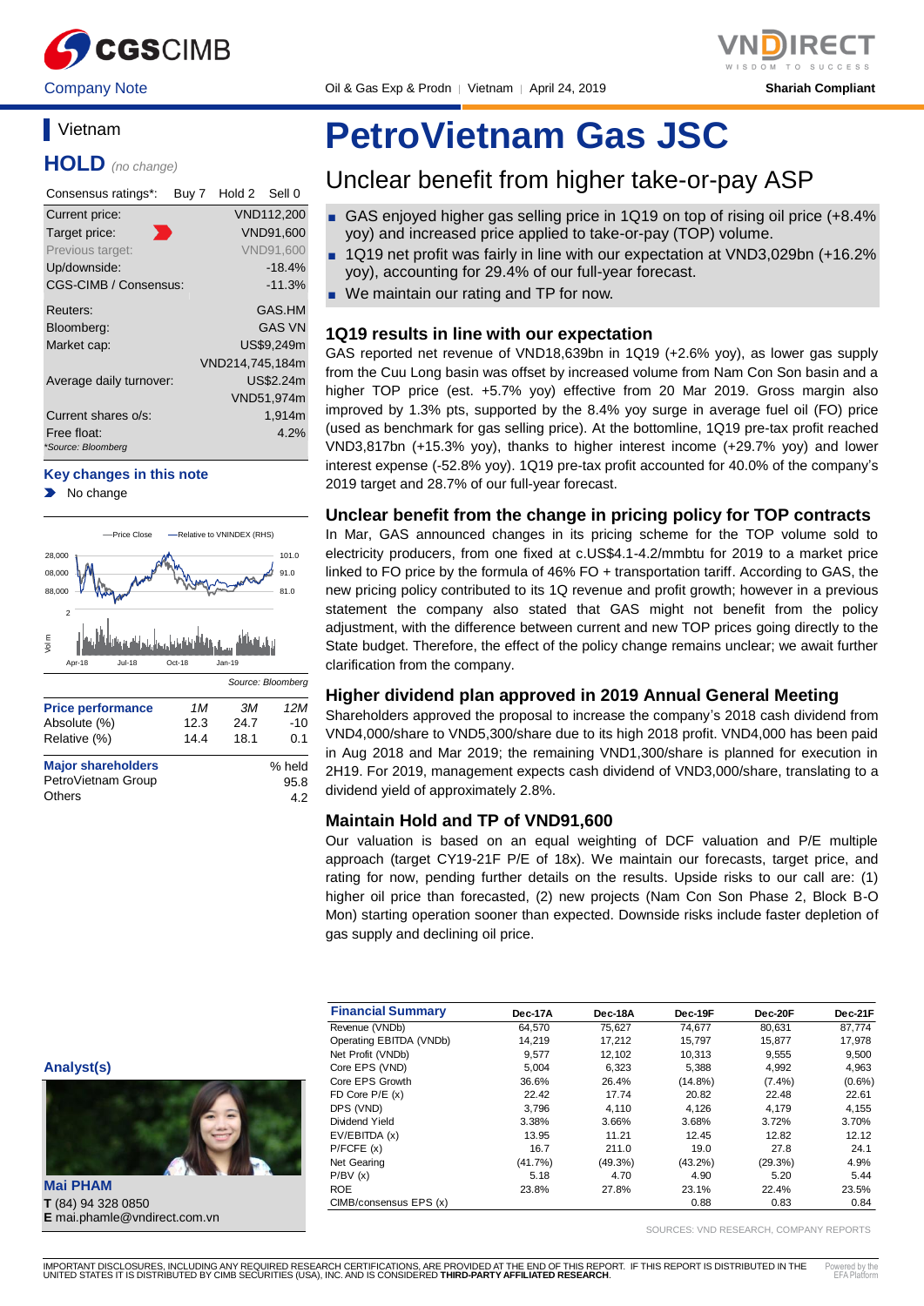

Company Note **Oil & Gas Exp & Prodn** │ Vietnam │ April 24, 2019 **Shariah Compliant** 

# **Vietnam**

**HOLD** *(no change)*

| Consensus ratings*:               | Buy 7 | Hold 2          | Sell 0           |
|-----------------------------------|-------|-----------------|------------------|
| Current price:                    |       |                 | VND112,200       |
| Target price:                     |       |                 | <b>VND91,600</b> |
| Previous target:                  |       |                 | <b>VND91.600</b> |
| Up/downside:                      |       |                 | $-18.4%$         |
| <b>CGS-CIMB / Consensus:</b>      |       |                 | $-11.3%$         |
| Reuters:                          |       |                 | GAS.HM           |
| Bloomberg:                        |       |                 | <b>GAS VN</b>    |
| Market cap:                       |       |                 | US\$9.249m       |
|                                   |       | VND214,745,184m |                  |
| Average daily turnover:           |       |                 | US\$2.24m        |
|                                   |       |                 | VND51,974m       |
| Current shares o/s:               |       |                 | 1,914m           |
| Free float:<br>*Source: Bloomberg |       |                 | 4.2%             |

#### **Key changes in this note**

No change



# **PetroVietnam Gas JSC**

# Unclear benefit from higher take-or-pay ASP

- GAS enjoyed higher gas selling price in 1Q19 on top of rising oil price (+8.4%) yoy) and increased price applied to take-or-pay (TOP) volume.
- 1Q19 net profit was fairly in line with our expectation at VND3,029bn (+16.2% yoy), accounting for 29.4% of our full-year forecast.
- We maintain our rating and TP for now.

## **1Q19 results in line with our expectation**

GAS reported net revenue of VND18,639bn in 1Q19 (+2.6% yoy), as lower gas supply from the Cuu Long basin was offset by increased volume from Nam Con Son basin and a higher TOP price (est. +5.7% yoy) effective from 20 Mar 2019. Gross margin also improved by 1.3% pts, supported by the 8.4% yoy surge in average fuel oil (FO) price (used as benchmark for gas selling price). At the bottomline, 1Q19 pre-tax profit reached VND3,817bn (+15.3% yoy), thanks to higher interest income (+29.7% yoy) and lower interest expense (-52.8% yoy). 1Q19 pre-tax profit accounted for 40.0% of the company's 2019 target and 28.7% of our full-year forecast.

## **Unclear benefit from the change in pricing policy for TOP contracts**

In Mar, GAS announced changes in its pricing scheme for the TOP volume sold to electricity producers, from one fixed at c.US\$4.1-4.2/mmbtu for 2019 to a market price linked to FO price by the formula of 46% FO + transportation tariff. According to GAS, the new pricing policy contributed to its 1Q revenue and profit growth; however in a previous statement the company also stated that GAS might not benefit from the policy adjustment, with the difference between current and new TOP prices going directly to the State budget. Therefore, the effect of the policy change remains unclear; we await further clarification from the company.

# **Higher dividend plan approved in 2019 Annual General Meeting**

Shareholders approved the proposal to increase the company's 2018 cash dividend from VND4,000/share to VND5,300/share due to its high 2018 profit. VND4,000 has been paid in Aug 2018 and Mar 2019; the remaining VND1,300/share is planned for execution in 2H19. For 2019, management expects cash dividend of VND3,000/share, translating to a dividend yield of approximately 2.8%.

# **Maintain Hold and TP of VND91,600**

Our valuation is based on an equal weighting of DCF valuation and P/E multiple approach (target CY19-21F P/E of 18x). We maintain our forecasts, target price, and rating for now, pending further details on the results. Upside risks to our call are: (1) higher oil price than forecasted, (2) new projects (Nam Con Son Phase 2, Block B-O Mon) starting operation sooner than expected. Downside risks include faster depletion of gas supply and declining oil price.

| <b>Financial Summary</b> | Dec-17A | Dec-18A    | Dec-19F    | Dec-20F   | Dec-21F   |
|--------------------------|---------|------------|------------|-----------|-----------|
| Revenue (VNDb)           | 64,570  | 75,627     | 74,677     | 80,631    | 87,774    |
| Operating EBITDA (VNDb)  | 14.219  | 17.212     | 15.797     | 15.877    | 17,978    |
| Net Profit (VNDb)        | 9,577   | 12,102     | 10,313     | 9,555     | 9,500     |
| Core EPS (VND)           | 5.004   | 6.323      | 5.388      | 4.992     | 4,963     |
| Core EPS Growth          | 36.6%   | 26.4%      | $(14.8\%)$ | $(7.4\%)$ | $(0.6\%)$ |
| FD Core $P/E(x)$         | 22.42   | 17.74      | 20.82      | 22.48     | 22.61     |
| DPS (VND)                | 3.796   | 4.110      | 4.126      | 4.179     | 4,155     |
| Dividend Yield           | 3.38%   | 3.66%      | 3.68%      | 3.72%     | 3.70%     |
| EV/EBITDA (x)            | 13.95   | 11.21      | 12.45      | 12.82     | 12.12     |
| P/FCFE(x)                | 16.7    | 211.0      | 19.0       | 27.8      | 24.1      |
| Net Gearing              | (41.7%) | $(49.3\%)$ | $(43.2\%)$ | (29.3%)   | 4.9%      |
| P/BV(x)                  | 5.18    | 4.70       | 4.90       | 5.20      | 5.44      |
| <b>ROE</b>               | 23.8%   | 27.8%      | 23.1%      | 22.4%     | 23.5%     |
| CIMB/consensus EPS (x)   |         |            | 0.88       | 0.83      | 0.84      |

SOURCES: VND RESEARCH, COMPANY REPORTS

**Analyst(s)**



**T** (84) 94 328 0850 **E** mai.phamle@vndirect.com.vn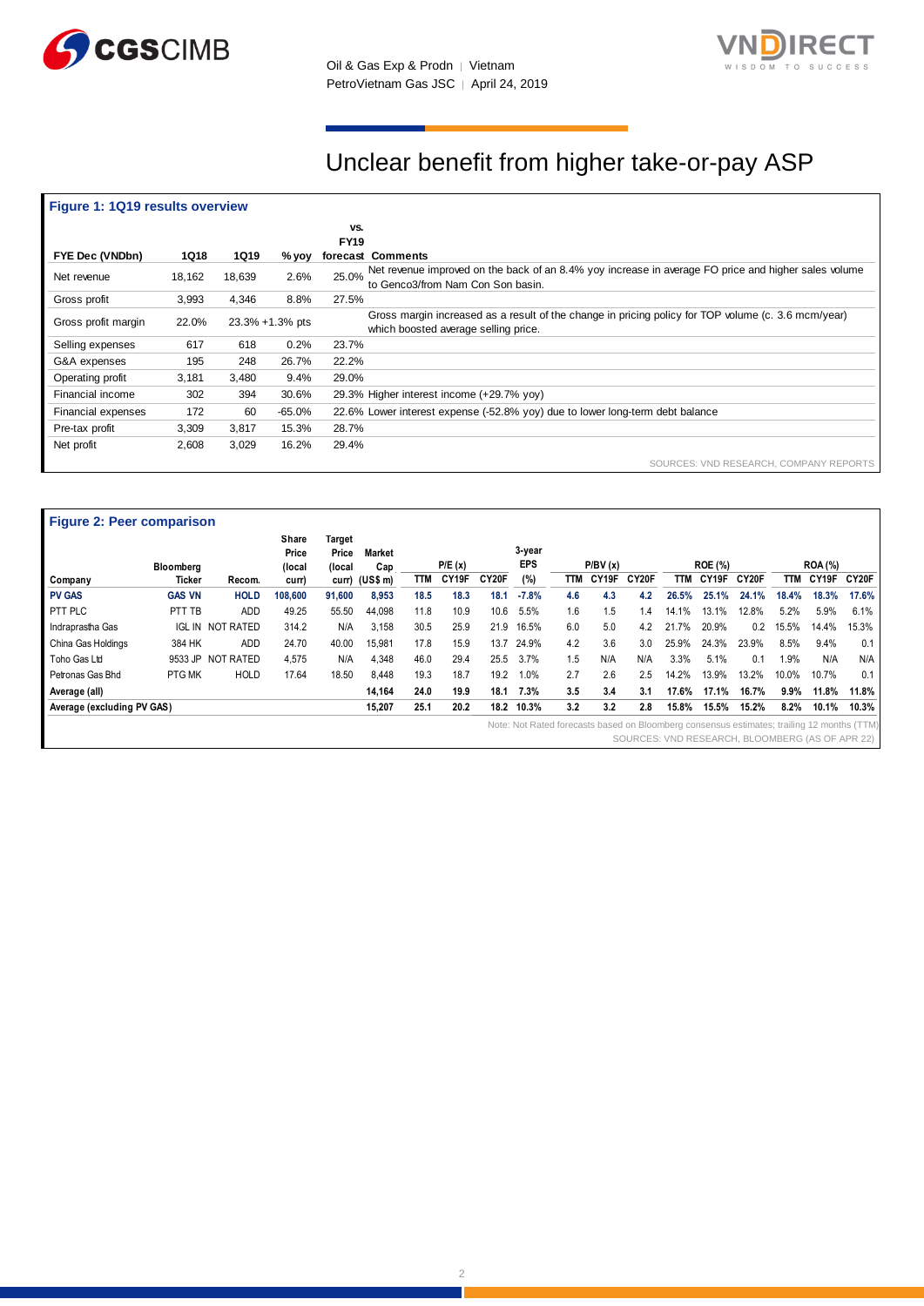

Oil & Gas Exp & Prodn │ Vietnam PetroVietnam Gas JSC | April 24, 2019



# Unclear benefit from higher take-or-pay ASP

# **Figure 1: 1Q19 results overview**

|                     |        |             |                 | VS.<br><b>FY19</b> |                                                                                                                                             |
|---------------------|--------|-------------|-----------------|--------------------|---------------------------------------------------------------------------------------------------------------------------------------------|
| FYE Dec (VNDbn)     | 1Q18   | <b>1Q19</b> | % yoy           |                    | forecast Comments                                                                                                                           |
| Net revenue         | 18,162 | 18,639      | 2.6%            | 25.0%              | Net revenue improved on the back of an 8.4% yoy increase in average FO price and higher sales volume<br>to Genco3/from Nam Con Son basin.   |
| Gross profit        | 3,993  | 4,346       | 8.8%            | 27.5%              |                                                                                                                                             |
| Gross profit margin | 22.0%  |             | 23.3% +1.3% pts |                    | Gross margin increased as a result of the change in pricing policy for TOP volume (c. 3.6 mcm/year)<br>which boosted average selling price. |
| Selling expenses    | 617    | 618         | 0.2%            | 23.7%              |                                                                                                                                             |
| G&A expenses        | 195    | 248         | 26.7%           | 22.2%              |                                                                                                                                             |
| Operating profit    | 3,181  | 3.480       | 9.4%            | 29.0%              |                                                                                                                                             |
| Financial income    | 302    | 394         | 30.6%           |                    | 29.3% Higher interest income (+29.7% yoy)                                                                                                   |
| Financial expenses  | 172    | 60          | -65.0%          |                    | 22.6% Lower interest expense (-52.8% yoy) due to lower long-term debt balance                                                               |
| Pre-tax profit      | 3,309  | 3,817       | 15.3%           | 28.7%              |                                                                                                                                             |
| Net profit          | 2,608  | 3,029       | 16.2%           | 29.4%              |                                                                                                                                             |
|                     |        |             |                 |                    | SOURCES: VND RESEARCH, COMPANY REPORTS                                                                                                      |

|                            | Bloomberg     |                   | Share<br>Price<br>(local | Target<br>Price<br>(local | <b>Market</b><br>Cap |      | P/E(x) |       | 3-year<br><b>EPS</b>                                                                       |     | P/BV(x) |                    |       | <b>ROE (%)</b> |                                                 |         | <b>ROA</b> (%) |       |
|----------------------------|---------------|-------------------|--------------------------|---------------------------|----------------------|------|--------|-------|--------------------------------------------------------------------------------------------|-----|---------|--------------------|-------|----------------|-------------------------------------------------|---------|----------------|-------|
| Company                    | Ticker        | Recom.            | curr)                    |                           | curr) (US\$ m)       | TTM  | CY19F  | CY20F | (%)                                                                                        | TTM | CY19F   | CY <sub>20</sub> F | TTM   | CY19F          | CY20F                                           | TTM     | CY19F          | CY20F |
| <b>PV GAS</b>              | <b>GAS VN</b> | <b>HOLD</b>       | 108,600                  | 91,600                    | 8,953                | 18.5 | 18.3   | 18.1  | $-7.8%$                                                                                    | 4.6 | 4.3     | 4.2                | 26.5% | 25.1%          | 24.1%                                           | 18.4%   | 18.3%          | 17.6% |
| PTT PLC                    | PTT TB        | <b>ADD</b>        | 49.25                    | 55.50                     | 44.098               | 11.8 | 10.9   | 10.6  | 5.5%                                                                                       | 1.6 | 1.5     | $^{\circ}$ .4      | 14.1% | 13.1%          | 12.8%                                           | 5.2%    | 5.9%           | 6.1%  |
| Indraprastha Gas           | IGL IN        | NOT RATED         | 314.2                    | N/A                       | 3,158                | 30.5 | 25.9   | 21.9  | 16.5%                                                                                      | 6.0 | 5.0     | 4.2                | 21.7% | 20.9%          | 0.2                                             | 15.5%   | 14.4%          | 15.3% |
| China Gas Holdings         | 384 HK        | <b>ADD</b>        | 24.70                    | 40.00                     | 15,981               | 17.8 | 15.9   | 13.7  | 24.9%                                                                                      | 4.2 | 3.6     | 3.0                | 25.9% | 24.3%          | 23.9%                                           | 8.5%    | 9.4%           | 0.1   |
| Toho Gas Ltd               |               | 9533 JP NOT RATED | 4,575                    | N/A                       | 4,348                | 46.0 | 29.4   | 25.5  | 3.7%                                                                                       | 1.5 | N/A     | N/A                | 3.3%  | 5.1%           | 0.1                                             | 1.9%    | N/A            | N/A   |
| Petronas Gas Bhd           | <b>PTGMK</b>  | <b>HOLD</b>       | 17.64                    | 18.50                     | 8.448                | 19.3 | 18.7   | 19.2  | 1.0%                                                                                       | 2.7 | 2.6     | 2.5                | 14.2% | 13.9%          | 13.2%                                           | 10.0%   | 10.7%          | 0.1   |
| Average (all)              |               |                   |                          |                           | 14,164               | 24.0 | 19.9   | 18.1  | 7.3%                                                                                       | 3.5 | 3.4     | 3.1                | 17.6% | 17.1%          | 16.7%                                           | $9.9\%$ | 11.8%          | 11.8% |
| Average (excluding PV GAS) |               |                   |                          |                           | 15,207               | 25.1 | 20.2   | 18.2  | 10.3%                                                                                      | 3.2 | 3.2     | 2.8                | 15.8% | 15.5%          | 15.2%                                           | 8.2%    | 10.1%          | 10.3% |
|                            |               |                   |                          |                           |                      |      |        |       | Note: Not Rated forecasts based on Bloomberg consensus estimates; trailing 12 months (TTM) |     |         |                    |       |                | SOURCES: VND RESEARCH, BLOOMBERG (AS OF APR 22) |         |                |       |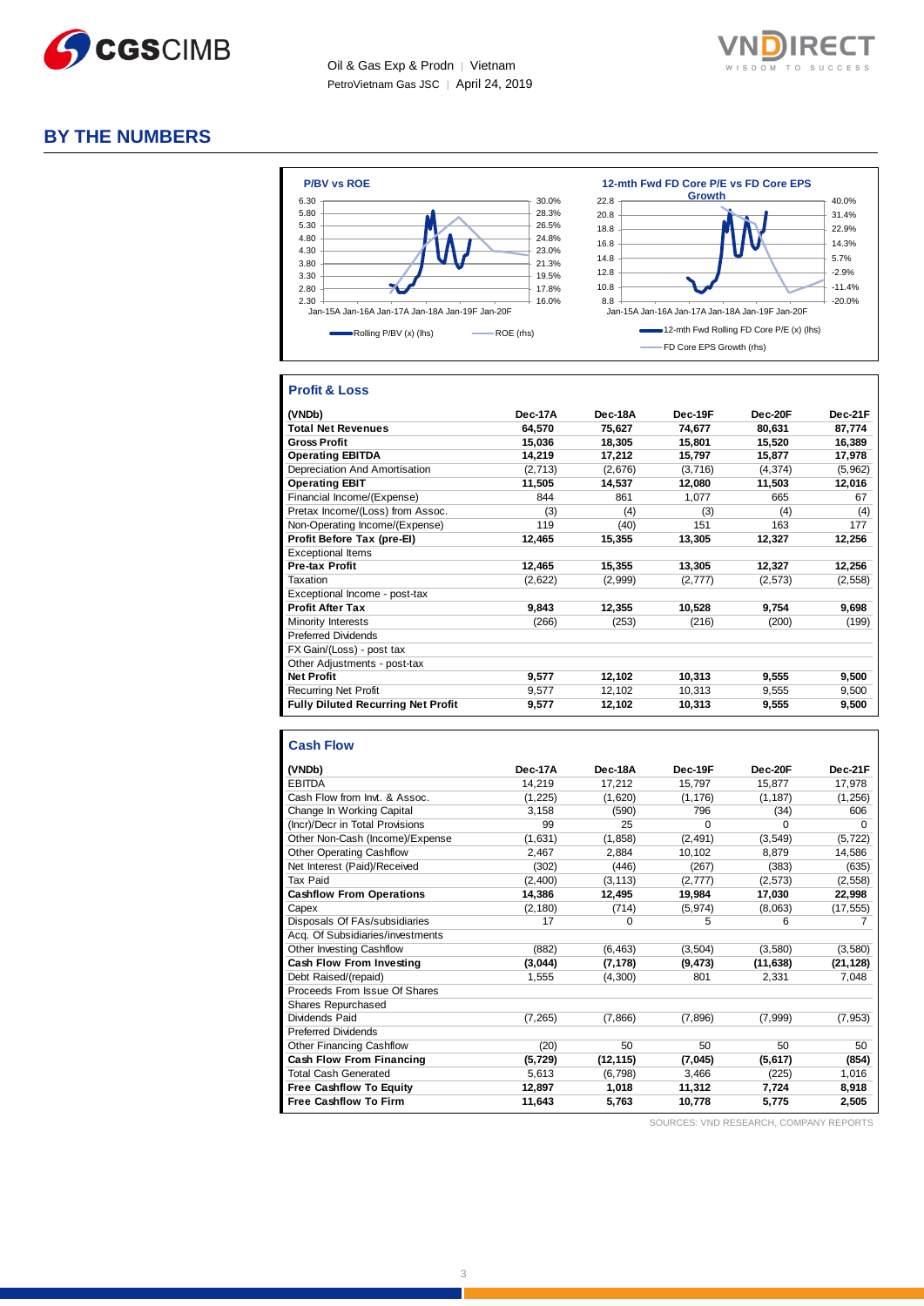

Oil & Gas Exp & Prodn | Vietnam PetroVietnam Gas JSC │ April 24, 2019



# **BY THE NUMBERS**



# **Profit & Loss**

| (VNDb)                                    | Dec-17A | Dec-18A | Dec-19F  | Dec-20F  | Dec-21F  |
|-------------------------------------------|---------|---------|----------|----------|----------|
| <b>Total Net Revenues</b>                 | 64,570  | 75.627  | 74.677   | 80.631   | 87,774   |
| <b>Gross Profit</b>                       | 15,036  | 18,305  | 15,801   | 15,520   | 16,389   |
| <b>Operating EBITDA</b>                   | 14,219  | 17,212  | 15,797   | 15,877   | 17,978   |
| Depreciation And Amortisation             | (2,713) | (2,676) | (3,716)  | (4, 374) | (5,962)  |
| <b>Operating EBIT</b>                     | 11,505  | 14,537  | 12,080   | 11,503   | 12,016   |
| Financial Income/(Expense)                | 844     | 861     | 1,077    | 665      | 67       |
| Pretax Income/(Loss) from Assoc.          | (3)     | (4)     | (3)      | (4)      | (4)      |
| Non-Operating Income/(Expense)            | 119     | (40)    | 151      | 163      | 177      |
| Profit Before Tax (pre-El)                | 12,465  | 15,355  | 13,305   | 12,327   | 12,256   |
| <b>Exceptional Items</b>                  |         |         |          |          |          |
| <b>Pre-tax Profit</b>                     | 12,465  | 15,355  | 13,305   | 12,327   | 12,256   |
| Taxation                                  | (2,622) | (2,999) | (2, 777) | (2,573)  | (2, 558) |
| Exceptional Income - post-tax             |         |         |          |          |          |
| <b>Profit After Tax</b>                   | 9.843   | 12,355  | 10,528   | 9,754    | 9,698    |
| Minority Interests                        | (266)   | (253)   | (216)    | (200)    | (199)    |
| <b>Preferred Dividends</b>                |         |         |          |          |          |
| FX Gain/(Loss) - post tax                 |         |         |          |          |          |
| Other Adjustments - post-tax              |         |         |          |          |          |
| <b>Net Profit</b>                         | 9,577   | 12,102  | 10,313   | 9,555    | 9,500    |
| <b>Recurring Net Profit</b>               | 9,577   | 12,102  | 10,313   | 9,555    | 9,500    |
| <b>Fully Diluted Recurring Net Profit</b> | 9,577   | 12,102  | 10,313   | 9,555    | 9,500    |

#### **Cash Flow**

| (VNDb)                           | Dec-17A  | Dec-18A   | Dec-19F  | Dec-20F   | Dec-21F   |
|----------------------------------|----------|-----------|----------|-----------|-----------|
| <b>EBITDA</b>                    | 14,219   | 17,212    | 15,797   | 15,877    | 17,978    |
| Cash Flow from Invt. & Assoc.    | (1, 225) | (1,620)   | (1, 176) | (1, 187)  | (1, 256)  |
| Change In Working Capital        | 3,158    | (590)     | 796      | (34)      | 606       |
| (Incr)/Decr in Total Provisions  | 99       | 25        | $\Omega$ | $\Omega$  | $\Omega$  |
| Other Non-Cash (Income)/Expense  | (1,631)  | (1, 858)  | (2, 491) | (3, 549)  | (5, 722)  |
| <b>Other Operating Cashflow</b>  | 2,467    | 2,884     | 10,102   | 8.879     | 14,586    |
| Net Interest (Paid)/Received     | (302)    | (446)     | (267)    | (383)     | (635)     |
| Tax Paid                         | (2,400)  | (3, 113)  | (2,777)  | (2,573)   | (2, 558)  |
| <b>Cashflow From Operations</b>  | 14,386   | 12,495    | 19,984   | 17,030    | 22,998    |
| Capex                            | (2, 180) | (714)     | (5, 974) | (8,063)   | (17, 555) |
| Disposals Of FAs/subsidiaries    | 17       | 0         | 5        | 6         |           |
| Acq. Of Subsidiaries/investments |          |           |          |           |           |
| <b>Other Investing Cashflow</b>  | (882)    | (6, 463)  | (3, 504) | (3,580)   | (3,580)   |
| Cash Flow From Investing         | (3,044)  | (7, 178)  | (9, 473) | (11, 638) | (21, 128) |
| Debt Raised/(repaid)             | 1,555    | (4,300)   | 801      | 2,331     | 7,048     |
| Proceeds From Issue Of Shares    |          |           |          |           |           |
| Shares Repurchased               |          |           |          |           |           |
| Dividends Paid                   | (7, 265) | (7,866)   | (7,896)  | (7,999)   | (7, 953)  |
| <b>Preferred Dividends</b>       |          |           |          |           |           |
| Other Financing Cashflow         | (20)     | 50        | 50       | 50        | 50        |
| <b>Cash Flow From Financing</b>  | (5, 729) | (12, 115) | (7,045)  | (5,617)   | (854)     |
| <b>Total Cash Generated</b>      | 5,613    | (6, 798)  | 3.466    | (225)     | 1,016     |
| <b>Free Cashflow To Equity</b>   | 12,897   | 1.018     | 11.312   | 7.724     | 8,918     |
| <b>Free Cashflow To Firm</b>     | 11,643   | 5,763     | 10,778   | 5,775     | 2,505     |

SOURCES: VND RESEARCH, COMPANY REPORTS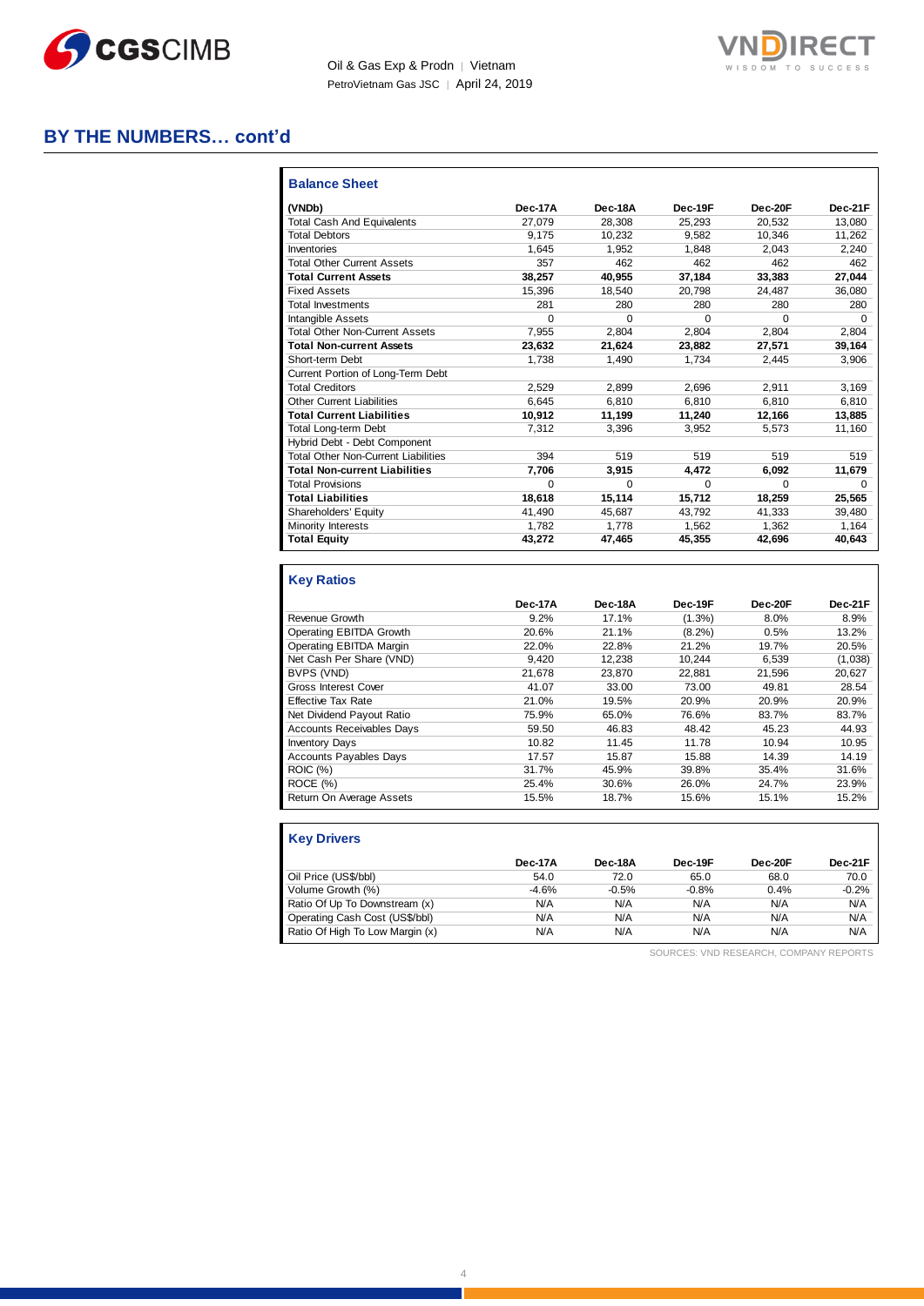

Oil & Gas Exp & Prodn | Vietnam PetroVietnam Gas JSC | April 24, 2019



# **BY THE NUMBERS… cont'd**

| <b>Balance Sheet</b>                       |         |          |          |          |          |
|--------------------------------------------|---------|----------|----------|----------|----------|
| (VNDb)                                     | Dec-17A | Dec-18A  | Dec-19F  | Dec-20F  | Dec-21F  |
| <b>Total Cash And Equivalents</b>          | 27.079  | 28.308   | 25,293   | 20,532   | 13.080   |
| <b>Total Debtors</b>                       | 9.175   | 10.232   | 9.582    | 10.346   | 11,262   |
| Inventories                                | 1.645   | 1.952    | 1.848    | 2.043    | 2.240    |
| <b>Total Other Current Assets</b>          | 357     | 462      | 462      | 462      | 462      |
| <b>Total Current Assets</b>                | 38.257  | 40.955   | 37.184   | 33.383   | 27,044   |
| <b>Fixed Assets</b>                        | 15.396  | 18.540   | 20.798   | 24.487   | 36,080   |
| <b>Total Investments</b>                   | 281     | 280      | 280      | 280      | 280      |
| Intangible Assets                          | 0       | 0        | $\Omega$ | $\Omega$ | $\Omega$ |
| <b>Total Other Non-Current Assets</b>      | 7.955   | 2.804    | 2.804    | 2.804    | 2.804    |
| <b>Total Non-current Assets</b>            | 23.632  | 21,624   | 23.882   | 27.571   | 39,164   |
| Short-term Debt                            | 1.738   | 1.490    | 1.734    | 2.445    | 3,906    |
| Current Portion of Long-Term Debt          |         |          |          |          |          |
| <b>Total Creditors</b>                     | 2.529   | 2.899    | 2.696    | 2.911    | 3,169    |
| <b>Other Current Liabilities</b>           | 6.645   | 6.810    | 6.810    | 6.810    | 6,810    |
| <b>Total Current Liabilities</b>           | 10.912  | 11,199   | 11,240   | 12,166   | 13,885   |
| <b>Total Long-term Debt</b>                | 7.312   | 3.396    | 3.952    | 5.573    | 11.160   |
| Hybrid Debt - Debt Component               |         |          |          |          |          |
| <b>Total Other Non-Current Liabilities</b> | 394     | 519      | 519      | 519      | 519      |
| <b>Total Non-current Liabilities</b>       | 7.706   | 3.915    | 4.472    | 6.092    | 11,679   |
| <b>Total Provisions</b>                    | 0       | $\Omega$ | $\Omega$ | $\Omega$ | $\Omega$ |
| <b>Total Liabilities</b>                   | 18.618  | 15.114   | 15.712   | 18.259   | 25.565   |
| Shareholders' Equity                       | 41,490  | 45.687   | 43.792   | 41,333   | 39,480   |
| Minority Interests                         | 1.782   | 1.778    | 1,562    | 1,362    | 1,164    |
| <b>Total Equity</b>                        | 43.272  | 47.465   | 45.355   | 42.696   | 40.643   |

# **Key Ratios**

|                                  | Dec-17A | Dec-18A | Dec-19F   | Dec-20F | Dec-21F |
|----------------------------------|---------|---------|-----------|---------|---------|
| <b>Revenue Growth</b>            | 9.2%    | 17.1%   | $(1.3\%)$ | 8.0%    | 8.9%    |
| Operating EBITDA Growth          | 20.6%   | 21.1%   | $(8.2\%)$ | 0.5%    | 13.2%   |
| Operating EBITDA Margin          | 22.0%   | 22.8%   | 21.2%     | 19.7%   | 20.5%   |
| Net Cash Per Share (VND)         | 9.420   | 12.238  | 10.244    | 6.539   | (1,038) |
| BVPS (VND)                       | 21.678  | 23.870  | 22.881    | 21.596  | 20,627  |
| Gross Interest Cover             | 41.07   | 33.00   | 73.00     | 49.81   | 28.54   |
| <b>Effective Tax Rate</b>        | 21.0%   | 19.5%   | 20.9%     | 20.9%   | 20.9%   |
| Net Dividend Payout Ratio        | 75.9%   | 65.0%   | 76.6%     | 83.7%   | 83.7%   |
| <b>Accounts Receivables Davs</b> | 59.50   | 46.83   | 48.42     | 45.23   | 44.93   |
| <b>Inventory Days</b>            | 10.82   | 11.45   | 11.78     | 10.94   | 10.95   |
| <b>Accounts Payables Days</b>    | 17.57   | 15.87   | 15.88     | 14.39   | 14.19   |
| <b>ROIC</b> (%)                  | 31.7%   | 45.9%   | 39.8%     | 35.4%   | 31.6%   |
| ROCE (%)                         | 25.4%   | 30.6%   | 26.0%     | 24.7%   | 23.9%   |
| Return On Average Assets         | 15.5%   | 18.7%   | 15.6%     | 15.1%   | 15.2%   |

| <b>Key Drivers</b>              |         |         |         |         |         |
|---------------------------------|---------|---------|---------|---------|---------|
|                                 | Dec-17A | Dec-18A | Dec-19F | Dec-20F | Dec-21F |
| Oil Price (US\$/bbl)            | 54.0    | 72.0    | 65.0    | 68.0    | 70.0    |
| Volume Growth (%)               | $-4.6%$ | $-0.5%$ | $-0.8%$ | 0.4%    | $-0.2%$ |
| Ratio Of Up To Downstream (x)   | N/A     | N/A     | N/A     | N/A     | N/A     |
| Operating Cash Cost (US\$/bbl)  | N/A     | N/A     | N/A     | N/A     | N/A     |
| Ratio Of High To Low Margin (x) | N/A     | N/A     | N/A     | N/A     | N/A     |

SOURCES: VND RESEARCH, COMPANY REPORTS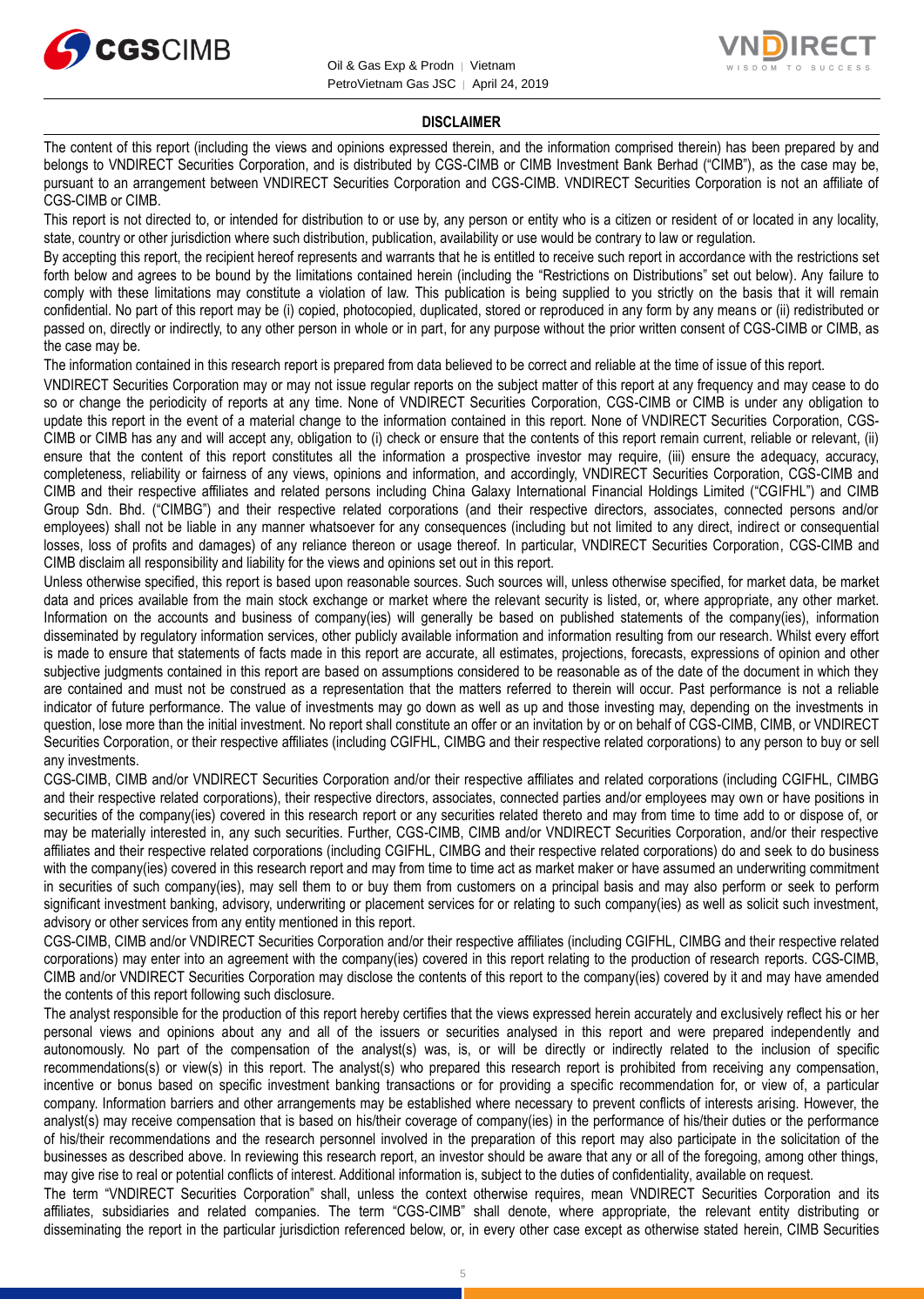



#### **DISCLAIMER**

The content of this report (including the views and opinions expressed therein, and the information comprised therein) has been prepared by and belongs to VNDIRECT Securities Corporation, and is distributed by CGS-CIMB or CIMB Investment Bank Berhad ("CIMB"), as the case may be, pursuant to an arrangement between VNDIRECT Securities Corporation and CGS-CIMB. VNDIRECT Securities Corporation is not an affiliate of CGS-CIMB or CIMB.

This report is not directed to, or intended for distribution to or use by, any person or entity who is a citizen or resident of or located in any locality, state, country or other jurisdiction where such distribution, publication, availability or use would be contrary to law or regulation.

By accepting this report, the recipient hereof represents and warrants that he is entitled to receive such report in accordance with the restrictions set forth below and agrees to be bound by the limitations contained herein (including the "Restrictions on Distributions" set out below). Any failure to comply with these limitations may constitute a violation of law. This publication is being supplied to you strictly on the basis that it will remain confidential. No part of this report may be (i) copied, photocopied, duplicated, stored or reproduced in any form by any means or (ii) redistributed or passed on, directly or indirectly, to any other person in whole or in part, for any purpose without the prior written consent of CGS-CIMB or CIMB, as the case may be.

The information contained in this research report is prepared from data believed to be correct and reliable at the time of issue of this report.

VNDIRECT Securities Corporation may or may not issue regular reports on the subject matter of this report at any frequency and may cease to do so or change the periodicity of reports at any time. None of VNDIRECT Securities Corporation, CGS-CIMB or CIMB is under any obligation to update this report in the event of a material change to the information contained in this report. None of VNDIRECT Securities Corporation, CGS-CIMB or CIMB has any and will accept any, obligation to (i) check or ensure that the contents of this report remain current, reliable or relevant, (ii) ensure that the content of this report constitutes all the information a prospective investor may require, (iii) ensure the adequacy, accuracy, completeness, reliability or fairness of any views, opinions and information, and accordingly, VNDIRECT Securities Corporation, CGS-CIMB and CIMB and their respective affiliates and related persons including China Galaxy International Financial Holdings Limited ("CGIFHL") and CIMB Group Sdn. Bhd. ("CIMBG") and their respective related corporations (and their respective directors, associates, connected persons and/or employees) shall not be liable in any manner whatsoever for any consequences (including but not limited to any direct, indirect or consequential losses, loss of profits and damages) of any reliance thereon or usage thereof. In particular, VNDIRECT Securities Corporation, CGS-CIMB and CIMB disclaim all responsibility and liability for the views and opinions set out in this report.

Unless otherwise specified, this report is based upon reasonable sources. Such sources will, unless otherwise specified, for market data, be market data and prices available from the main stock exchange or market where the relevant security is listed, or, where appropriate, any other market. Information on the accounts and business of company(ies) will generally be based on published statements of the company(ies), information disseminated by regulatory information services, other publicly available information and information resulting from our research. Whilst every effort is made to ensure that statements of facts made in this report are accurate, all estimates, projections, forecasts, expressions of opinion and other subjective judgments contained in this report are based on assumptions considered to be reasonable as of the date of the document in which they are contained and must not be construed as a representation that the matters referred to therein will occur. Past performance is not a reliable indicator of future performance. The value of investments may go down as well as up and those investing may, depending on the investments in question, lose more than the initial investment. No report shall constitute an offer or an invitation by or on behalf of CGS-CIMB, CIMB, or VNDIRECT Securities Corporation, or their respective affiliates (including CGIFHL, CIMBG and their respective related corporations) to any person to buy or sell any investments.

CGS-CIMB, CIMB and/or VNDIRECT Securities Corporation and/or their respective affiliates and related corporations (including CGIFHL, CIMBG and their respective related corporations), their respective directors, associates, connected parties and/or employees may own or have positions in securities of the company(ies) covered in this research report or any securities related thereto and may from time to time add to or dispose of, or may be materially interested in, any such securities. Further, CGS-CIMB, CIMB and/or VNDIRECT Securities Corporation, and/or their respective affiliates and their respective related corporations (including CGIFHL, CIMBG and their respective related corporations) do and seek to do business with the company(ies) covered in this research report and may from time to time act as market maker or have assumed an underwriting commitment in securities of such company(ies), may sell them to or buy them from customers on a principal basis and may also perform or seek to perform significant investment banking, advisory, underwriting or placement services for or relating to such company(ies) as well as solicit such investment, advisory or other services from any entity mentioned in this report.

CGS-CIMB, CIMB and/or VNDIRECT Securities Corporation and/or their respective affiliates (including CGIFHL, CIMBG and their respective related corporations) may enter into an agreement with the company(ies) covered in this report relating to the production of research reports. CGS-CIMB, CIMB and/or VNDIRECT Securities Corporation may disclose the contents of this report to the company(ies) covered by it and may have amended the contents of this report following such disclosure.

The analyst responsible for the production of this report hereby certifies that the views expressed herein accurately and exclusively reflect his or her personal views and opinions about any and all of the issuers or securities analysed in this report and were prepared independently and autonomously. No part of the compensation of the analyst(s) was, is, or will be directly or indirectly related to the inclusion of specific recommendations(s) or view(s) in this report. The analyst(s) who prepared this research report is prohibited from receiving any compensation, incentive or bonus based on specific investment banking transactions or for providing a specific recommendation for, or view of, a particular company. Information barriers and other arrangements may be established where necessary to prevent conflicts of interests arising. However, the analyst(s) may receive compensation that is based on his/their coverage of company(ies) in the performance of his/their duties or the performance of his/their recommendations and the research personnel involved in the preparation of this report may also participate in the solicitation of the businesses as described above. In reviewing this research report, an investor should be aware that any or all of the foregoing, among other things, may give rise to real or potential conflicts of interest. Additional information is, subject to the duties of confidentiality, available on request.

The term "VNDIRECT Securities Corporation" shall, unless the context otherwise requires, mean VNDIRECT Securities Corporation and its affiliates, subsidiaries and related companies. The term "CGS-CIMB" shall denote, where appropriate, the relevant entity distributing or disseminating the report in the particular jurisdiction referenced below, or, in every other case except as otherwise stated herein, CIMB Securities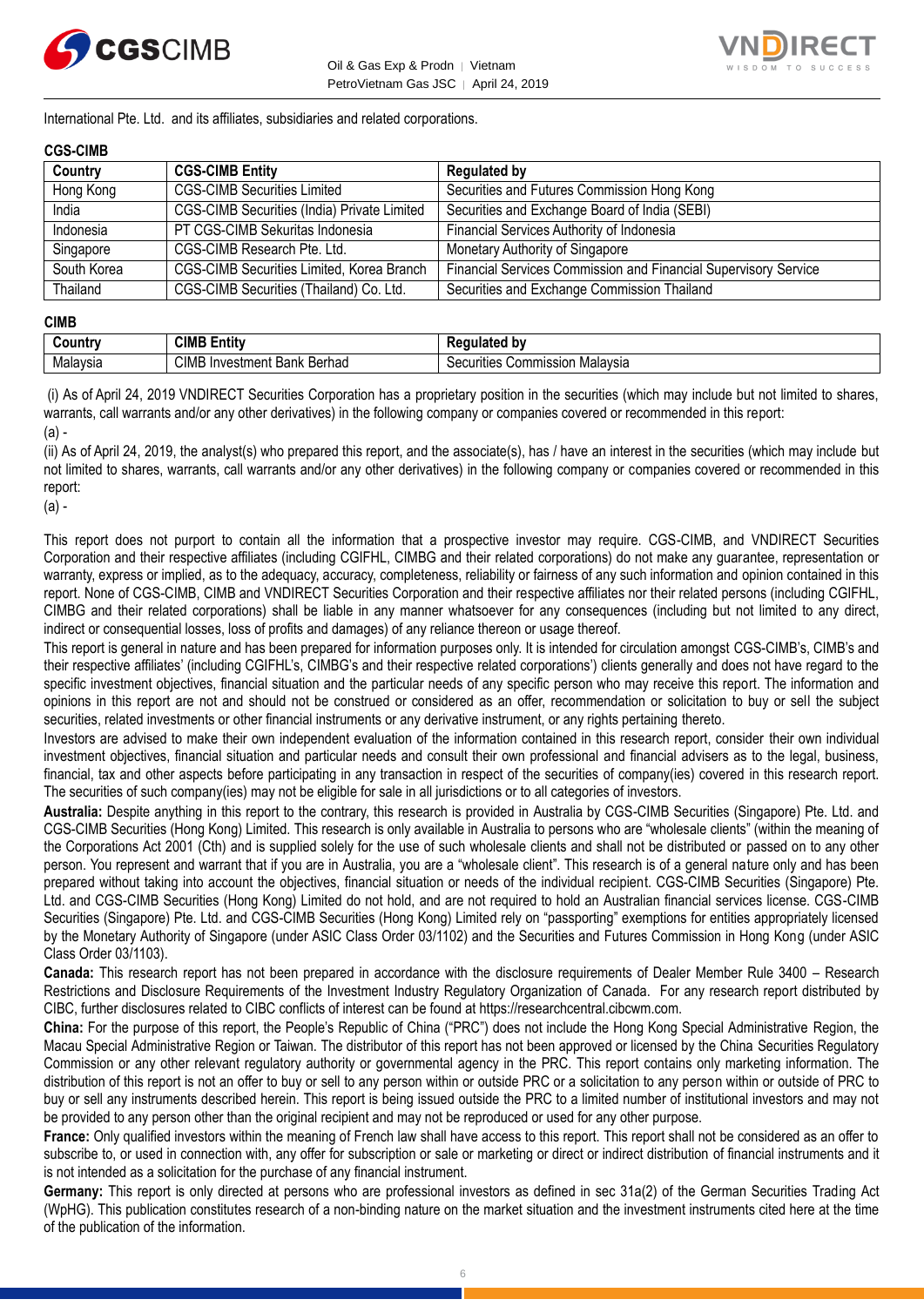



International Pte. Ltd. and its affiliates, subsidiaries and related corporations.

#### **CGS-CIMB**

| Country     | <b>CGS-CIMB Entity</b>                             | <b>Regulated by</b>                                             |
|-------------|----------------------------------------------------|-----------------------------------------------------------------|
| Hong Kong   | <b>CGS-CIMB Securities Limited</b>                 | Securities and Futures Commission Hong Kong                     |
| India       | <b>CGS-CIMB Securities (India) Private Limited</b> | Securities and Exchange Board of India (SEBI)                   |
| Indonesia   | PT CGS-CIMB Sekuritas Indonesia                    | Financial Services Authority of Indonesia                       |
| Singapore   | CGS-CIMB Research Pte. Ltd.                        | Monetary Authority of Singapore                                 |
| South Korea | CGS-CIMB Securities Limited, Korea Branch          | Financial Services Commission and Financial Supervisory Service |
| Thailand    | CGS-CIMB Securities (Thailand) Co. Ltd.            | Securities and Exchange Commission Thailand                     |

#### **CIMB**

| ∶ountr\  | <b>CIML</b><br>.<br>- -<br>Entity            | b٧<br>--- -<br>.<br>παιει                                |
|----------|----------------------------------------------|----------------------------------------------------------|
| Malavsia | CIMB<br>Berhad<br>Investment<br>レヘハレ<br>Dank | Malavsia<br>`ommissior<br>$\sim$<br>urities<br>vv.<br>ುರ |

(i) As of April 24, 2019 VNDIRECT Securities Corporation has a proprietary position in the securities (which may include but not limited to shares, warrants, call warrants and/or any other derivatives) in the following company or companies covered or recommended in this report: (a) -

(ii) As of April 24, 2019, the analyst(s) who prepared this report, and the associate(s), has / have an interest in the securities (which may include but not limited to shares, warrants, call warrants and/or any other derivatives) in the following company or companies covered or recommended in this report:

(a) -

This report does not purport to contain all the information that a prospective investor may require. CGS-CIMB, and VNDIRECT Securities Corporation and their respective affiliates (including CGIFHL, CIMBG and their related corporations) do not make any guarantee, representation or warranty, express or implied, as to the adequacy, accuracy, completeness, reliability or fairness of any such information and opinion contained in this report. None of CGS-CIMB, CIMB and VNDIRECT Securities Corporation and their respective affiliates nor their related persons (including CGIFHL, CIMBG and their related corporations) shall be liable in any manner whatsoever for any consequences (including but not limited to any direct, indirect or consequential losses, loss of profits and damages) of any reliance thereon or usage thereof.

This report is general in nature and has been prepared for information purposes only. It is intended for circulation amongst CGS-CIMB's, CIMB's and their respective affiliates' (including CGIFHL's, CIMBG's and their respective related corporations') clients generally and does not have regard to the specific investment objectives, financial situation and the particular needs of any specific person who may receive this report. The information and opinions in this report are not and should not be construed or considered as an offer, recommendation or solicitation to buy or sell the subject securities, related investments or other financial instruments or any derivative instrument, or any rights pertaining thereto.

Investors are advised to make their own independent evaluation of the information contained in this research report, consider their own individual investment objectives, financial situation and particular needs and consult their own professional and financial advisers as to the legal, business, financial, tax and other aspects before participating in any transaction in respect of the securities of company(ies) covered in this research report. The securities of such company(ies) may not be eligible for sale in all jurisdictions or to all categories of investors.

**Australia:** Despite anything in this report to the contrary, this research is provided in Australia by CGS-CIMB Securities (Singapore) Pte. Ltd. and CGS-CIMB Securities (Hong Kong) Limited. This research is only available in Australia to persons who are "wholesale clients" (within the meaning of the Corporations Act 2001 (Cth) and is supplied solely for the use of such wholesale clients and shall not be distributed or passed on to any other person. You represent and warrant that if you are in Australia, you are a "wholesale client". This research is of a general nature only and has been prepared without taking into account the objectives, financial situation or needs of the individual recipient. CGS-CIMB Securities (Singapore) Pte. Ltd. and CGS-CIMB Securities (Hong Kong) Limited do not hold, and are not required to hold an Australian financial services license. CGS-CIMB Securities (Singapore) Pte. Ltd. and CGS-CIMB Securities (Hong Kong) Limited rely on "passporting" exemptions for entities appropriately licensed by the Monetary Authority of Singapore (under ASIC Class Order 03/1102) and the Securities and Futures Commission in Hong Kong (under ASIC Class Order 03/1103).

**Canada:** This research report has not been prepared in accordance with the disclosure requirements of Dealer Member Rule 3400 – Research Restrictions and Disclosure Requirements of the Investment Industry Regulatory Organization of Canada. For any research report distributed by CIBC, further disclosures related to CIBC conflicts of interest can be found at https://researchcentral.cibcwm.com.

**China:** For the purpose of this report, the People's Republic of China ("PRC") does not include the Hong Kong Special Administrative Region, the Macau Special Administrative Region or Taiwan. The distributor of this report has not been approved or licensed by the China Securities Regulatory Commission or any other relevant regulatory authority or governmental agency in the PRC. This report contains only marketing information. The distribution of this report is not an offer to buy or sell to any person within or outside PRC or a solicitation to any person within or outside of PRC to buy or sell any instruments described herein. This report is being issued outside the PRC to a limited number of institutional investors and may not be provided to any person other than the original recipient and may not be reproduced or used for any other purpose.

**France:** Only qualified investors within the meaning of French law shall have access to this report. This report shall not be considered as an offer to subscribe to, or used in connection with, any offer for subscription or sale or marketing or direct or indirect distribution of financial instruments and it is not intended as a solicitation for the purchase of any financial instrument.

**Germany:** This report is only directed at persons who are professional investors as defined in sec 31a(2) of the German Securities Trading Act (WpHG). This publication constitutes research of a non-binding nature on the market situation and the investment instruments cited here at the time of the publication of the information.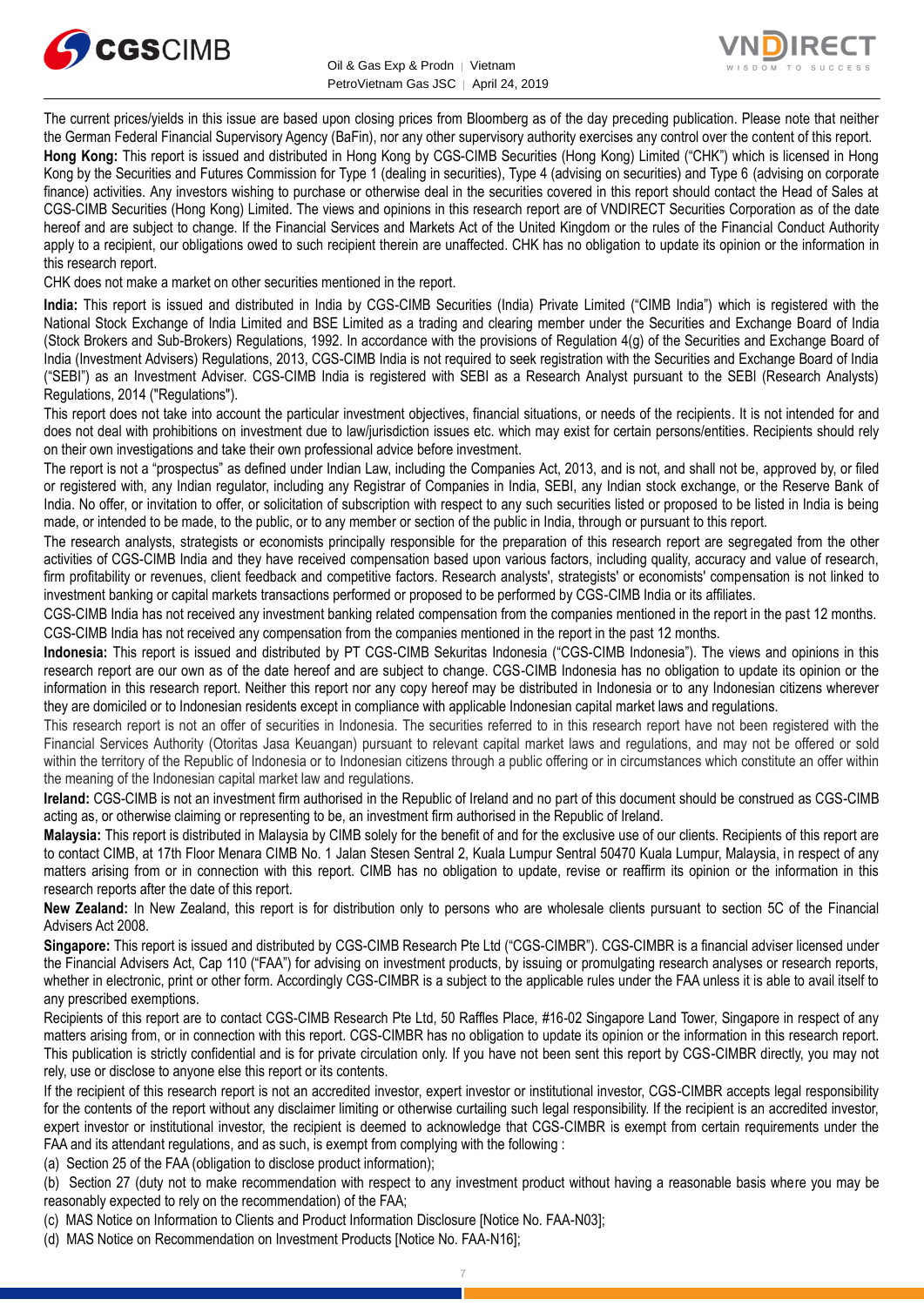



The current prices/yields in this issue are based upon closing prices from Bloomberg as of the day preceding publication. Please note that neither the German Federal Financial Supervisory Agency (BaFin), nor any other supervisory authority exercises any control over the content of this report.

**Hong Kong:** This report is issued and distributed in Hong Kong by CGS-CIMB Securities (Hong Kong) Limited ("CHK") which is licensed in Hong Kong by the Securities and Futures Commission for Type 1 (dealing in securities), Type 4 (advising on securities) and Type 6 (advising on corporate finance) activities. Any investors wishing to purchase or otherwise deal in the securities covered in this report should contact the Head of Sales at CGS-CIMB Securities (Hong Kong) Limited. The views and opinions in this research report are of VNDIRECT Securities Corporation as of the date hereof and are subject to change. If the Financial Services and Markets Act of the United Kingdom or the rules of the Financial Conduct Authority apply to a recipient, our obligations owed to such recipient therein are unaffected. CHK has no obligation to update its opinion or the information in this research report.

CHK does not make a market on other securities mentioned in the report.

**India:** This report is issued and distributed in India by CGS-CIMB Securities (India) Private Limited ("CIMB India") which is registered with the National Stock Exchange of India Limited and BSE Limited as a trading and clearing member under the Securities and Exchange Board of India (Stock Brokers and Sub-Brokers) Regulations, 1992. In accordance with the provisions of Regulation 4(g) of the Securities and Exchange Board of India (Investment Advisers) Regulations, 2013, CGS-CIMB India is not required to seek registration with the Securities and Exchange Board of India ("SEBI") as an Investment Adviser. CGS-CIMB India is registered with SEBI as a Research Analyst pursuant to the SEBI (Research Analysts) Regulations, 2014 ("Regulations").

This report does not take into account the particular investment objectives, financial situations, or needs of the recipients. It is not intended for and does not deal with prohibitions on investment due to law/jurisdiction issues etc. which may exist for certain persons/entities. Recipients should rely on their own investigations and take their own professional advice before investment.

The report is not a "prospectus" as defined under Indian Law, including the Companies Act, 2013, and is not, and shall not be, approved by, or filed or registered with, any Indian regulator, including any Registrar of Companies in India, SEBI, any Indian stock exchange, or the Reserve Bank of India. No offer, or invitation to offer, or solicitation of subscription with respect to any such securities listed or proposed to be listed in India is being made, or intended to be made, to the public, or to any member or section of the public in India, through or pursuant to this report.

The research analysts, strategists or economists principally responsible for the preparation of this research report are segregated from the other activities of CGS-CIMB India and they have received compensation based upon various factors, including quality, accuracy and value of research, firm profitability or revenues, client feedback and competitive factors. Research analysts', strategists' or economists' compensation is not linked to investment banking or capital markets transactions performed or proposed to be performed by CGS-CIMB India or its affiliates.

CGS-CIMB India has not received any investment banking related compensation from the companies mentioned in the report in the past 12 months. CGS-CIMB India has not received any compensation from the companies mentioned in the report in the past 12 months.

**Indonesia:** This report is issued and distributed by PT CGS-CIMB Sekuritas Indonesia ("CGS-CIMB Indonesia"). The views and opinions in this research report are our own as of the date hereof and are subject to change. CGS-CIMB Indonesia has no obligation to update its opinion or the information in this research report. Neither this report nor any copy hereof may be distributed in Indonesia or to any Indonesian citizens wherever they are domiciled or to Indonesian residents except in compliance with applicable Indonesian capital market laws and regulations.

This research report is not an offer of securities in Indonesia. The securities referred to in this research report have not been registered with the Financial Services Authority (Otoritas Jasa Keuangan) pursuant to relevant capital market laws and regulations, and may not be offered or sold within the territory of the Republic of Indonesia or to Indonesian citizens through a public offering or in circumstances which constitute an offer within the meaning of the Indonesian capital market law and regulations.

**Ireland:** CGS-CIMB is not an investment firm authorised in the Republic of Ireland and no part of this document should be construed as CGS-CIMB acting as, or otherwise claiming or representing to be, an investment firm authorised in the Republic of Ireland.

**Malaysia:** This report is distributed in Malaysia by CIMB solely for the benefit of and for the exclusive use of our clients. Recipients of this report are to contact CIMB, at 17th Floor Menara CIMB No. 1 Jalan Stesen Sentral 2, Kuala Lumpur Sentral 50470 Kuala Lumpur, Malaysia, in respect of any matters arising from or in connection with this report. CIMB has no obligation to update, revise or reaffirm its opinion or the information in this research reports after the date of this report.

**New Zealand:** In New Zealand, this report is for distribution only to persons who are wholesale clients pursuant to section 5C of the Financial Advisers Act 2008.

**Singapore:** This report is issued and distributed by CGS-CIMB Research Pte Ltd ("CGS-CIMBR"). CGS-CIMBR is a financial adviser licensed under the Financial Advisers Act, Cap 110 ("FAA") for advising on investment products, by issuing or promulgating research analyses or research reports, whether in electronic, print or other form. Accordingly CGS-CIMBR is a subject to the applicable rules under the FAA unless it is able to avail itself to any prescribed exemptions.

Recipients of this report are to contact CGS-CIMB Research Pte Ltd, 50 Raffles Place, #16-02 Singapore Land Tower, Singapore in respect of any matters arising from, or in connection with this report. CGS-CIMBR has no obligation to update its opinion or the information in this research report. This publication is strictly confidential and is for private circulation only. If you have not been sent this report by CGS-CIMBR directly, you may not rely, use or disclose to anyone else this report or its contents.

If the recipient of this research report is not an accredited investor, expert investor or institutional investor, CGS-CIMBR accepts legal responsibility for the contents of the report without any disclaimer limiting or otherwise curtailing such legal responsibility. If the recipient is an accredited investor, expert investor or institutional investor, the recipient is deemed to acknowledge that CGS-CIMBR is exempt from certain requirements under the FAA and its attendant regulations, and as such, is exempt from complying with the following :

(a) Section 25 of the FAA (obligation to disclose product information);

(b) Section 27 (duty not to make recommendation with respect to any investment product without having a reasonable basis where you may be reasonably expected to rely on the recommendation) of the FAA;

(c) MAS Notice on Information to Clients and Product Information Disclosure [Notice No. FAA-N03];

(d) MAS Notice on Recommendation on Investment Products [Notice No. FAA-N16];

7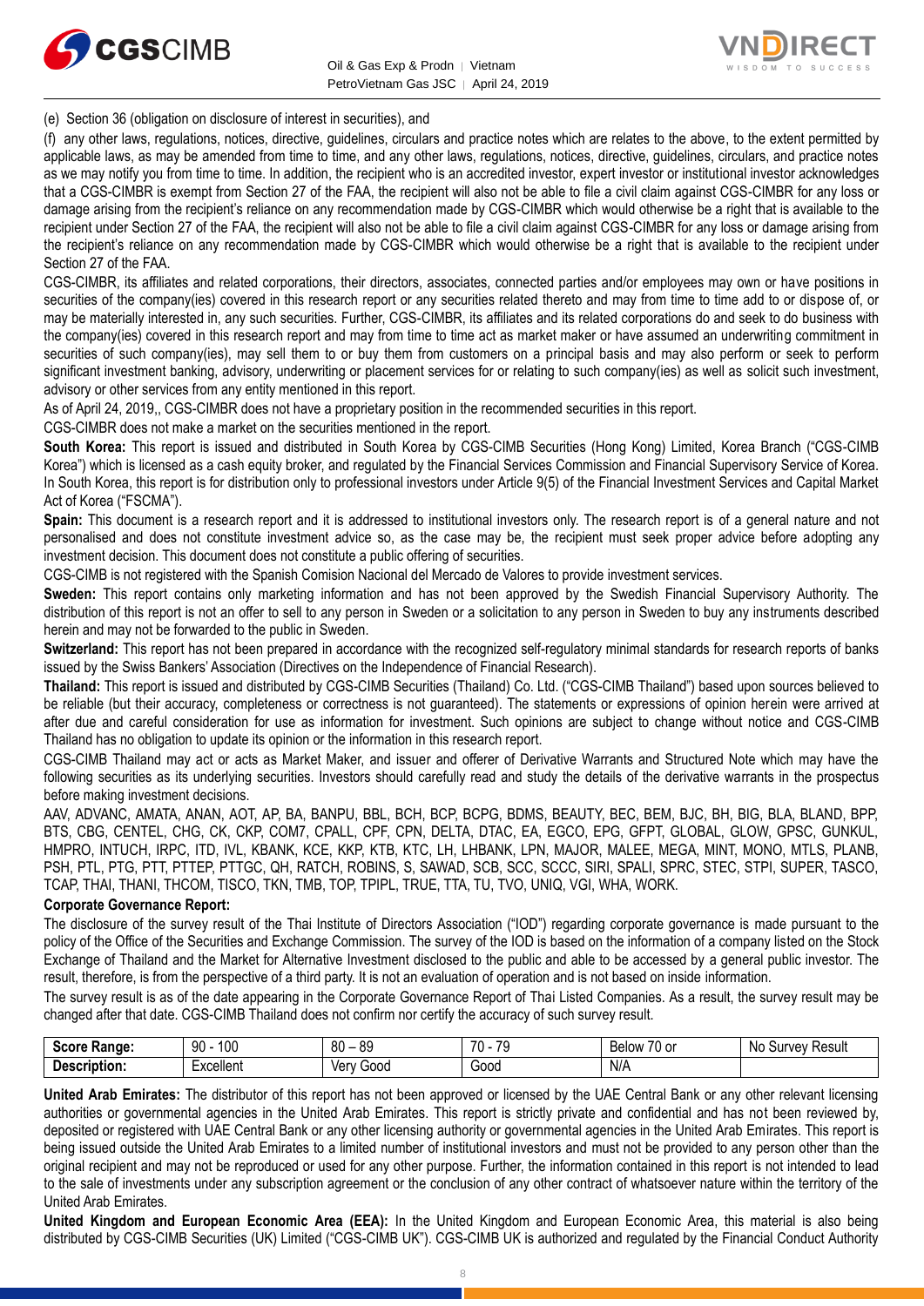



(e) Section 36 (obligation on disclosure of interest in securities), and

(f) any other laws, regulations, notices, directive, guidelines, circulars and practice notes which are relates to the above, to the extent permitted by applicable laws, as may be amended from time to time, and any other laws, regulations, notices, directive, guidelines, circulars, and practice notes as we may notify you from time to time. In addition, the recipient who is an accredited investor, expert investor or institutional investor acknowledges that a CGS-CIMBR is exempt from Section 27 of the FAA, the recipient will also not be able to file a civil claim against CGS-CIMBR for any loss or damage arising from the recipient's reliance on any recommendation made by CGS-CIMBR which would otherwise be a right that is available to the recipient under Section 27 of the FAA, the recipient will also not be able to file a civil claim against CGS-CIMBR for any loss or damage arising from the recipient's reliance on any recommendation made by CGS-CIMBR which would otherwise be a right that is available to the recipient under Section 27 of the FAA.

CGS-CIMBR, its affiliates and related corporations, their directors, associates, connected parties and/or employees may own or have positions in securities of the company(ies) covered in this research report or any securities related thereto and may from time to time add to or dispose of, or may be materially interested in, any such securities. Further, CGS-CIMBR, its affiliates and its related corporations do and seek to do business with the company(ies) covered in this research report and may from time to time act as market maker or have assumed an underwriting commitment in securities of such company(ies), may sell them to or buy them from customers on a principal basis and may also perform or seek to perform significant investment banking, advisory, underwriting or placement services for or relating to such company(ies) as well as solicit such investment, advisory or other services from any entity mentioned in this report.

As of April 24, 2019,, CGS-CIMBR does not have a proprietary position in the recommended securities in this report.

CGS-CIMBR does not make a market on the securities mentioned in the report.

**South Korea:** This report is issued and distributed in South Korea by CGS-CIMB Securities (Hong Kong) Limited, Korea Branch ("CGS-CIMB Korea") which is licensed as a cash equity broker, and regulated by the Financial Services Commission and Financial Supervisory Service of Korea. In South Korea, this report is for distribution only to professional investors under Article 9(5) of the Financial Investment Services and Capital Market Act of Korea ("FSCMA").

**Spain:** This document is a research report and it is addressed to institutional investors only. The research report is of a general nature and not personalised and does not constitute investment advice so, as the case may be, the recipient must seek proper advice before adopting any investment decision. This document does not constitute a public offering of securities.

CGS-CIMB is not registered with the Spanish Comision Nacional del Mercado de Valores to provide investment services.

**Sweden:** This report contains only marketing information and has not been approved by the Swedish Financial Supervisory Authority. The distribution of this report is not an offer to sell to any person in Sweden or a solicitation to any person in Sweden to buy any instruments described herein and may not be forwarded to the public in Sweden.

**Switzerland:** This report has not been prepared in accordance with the recognized self-regulatory minimal standards for research reports of banks issued by the Swiss Bankers' Association (Directives on the Independence of Financial Research).

**Thailand:** This report is issued and distributed by CGS-CIMB Securities (Thailand) Co. Ltd. ("CGS-CIMB Thailand") based upon sources believed to be reliable (but their accuracy, completeness or correctness is not guaranteed). The statements or expressions of opinion herein were arrived at after due and careful consideration for use as information for investment. Such opinions are subject to change without notice and CGS-CIMB Thailand has no obligation to update its opinion or the information in this research report.

CGS-CIMB Thailand may act or acts as Market Maker, and issuer and offerer of Derivative Warrants and Structured Note which may have the following securities as its underlying securities. Investors should carefully read and study the details of the derivative warrants in the prospectus before making investment decisions.

AAV, ADVANC, AMATA, ANAN, AOT, AP, BA, BANPU, BBL, BCH, BCP, BCPG, BDMS, BEAUTY, BEC, BEM, BJC, BH, BIG, BLA, BLAND, BPP, BTS, CBG, CENTEL, CHG, CK, CKP, COM7, CPALL, CPF, CPN, DELTA, DTAC, EA, EGCO, EPG, GFPT, GLOBAL, GLOW, GPSC, GUNKUL, HMPRO, INTUCH, IRPC, ITD, IVL, KBANK, KCE, KKP, KTB, KTC, LH, LHBANK, LPN, MAJOR, MALEE, MEGA, MINT, MONO, MTLS, PLANB, PSH, PTL, PTG, PTT, PTTEP, PTTGC, QH, RATCH, ROBINS, S, SAWAD, SCB, SCC, SCCC, SIRI, SPALI, SPRC, STEC, STPI, SUPER, TASCO, TCAP, THAI, THANI, THCOM, TISCO, TKN, TMB, TOP, TPIPL, TRUE, TTA, TU, TVO, UNIQ, VGI, WHA, WORK.

## **Corporate Governance Report:**

The disclosure of the survey result of the Thai Institute of Directors Association ("IOD") regarding corporate governance is made pursuant to the policy of the Office of the Securities and Exchange Commission. The survey of the IOD is based on the information of a company listed on the Stock Exchange of Thailand and the Market for Alternative Investment disclosed to the public and able to be accessed by a general public investor. The result, therefore, is from the perspective of a third party. It is not an evaluation of operation and is not based on inside information.

The survey result is as of the date appearing in the Corporate Governance Report of Thai Listed Companies. As a result, the survey result may be changed after that date. CGS-CIMB Thailand does not confirm nor certify the accuracy of such survey result.

| <b>Score</b><br>Range: | 100<br>90                                | $80 -$<br>89 | 70<br>$\overline{\phantom{a}}$<br>. | $\rightarrow$<br>. .<br>Below<br>⊺∪ or | No<br>Result<br>iurvev<br>ັບ |
|------------------------|------------------------------------------|--------------|-------------------------------------|----------------------------------------|------------------------------|
| Description:           | Lynnllon <sup>+</sup><br>- ^ ~ * * * * * | Good<br>∨er∖ | 000ن                                | N/A                                    |                              |

**United Arab Emirates:** The distributor of this report has not been approved or licensed by the UAE Central Bank or any other relevant licensing authorities or governmental agencies in the United Arab Emirates. This report is strictly private and confidential and has not been reviewed by, deposited or registered with UAE Central Bank or any other licensing authority or governmental agencies in the United Arab Emirates. This report is being issued outside the United Arab Emirates to a limited number of institutional investors and must not be provided to any person other than the original recipient and may not be reproduced or used for any other purpose. Further, the information contained in this report is not intended to lead to the sale of investments under any subscription agreement or the conclusion of any other contract of whatsoever nature within the territory of the United Arab Emirates.

**United Kingdom and European Economic Area (EEA):** In the United Kingdom and European Economic Area, this material is also being distributed by CGS-CIMB Securities (UK) Limited ("CGS-CIMB UK"). CGS-CIMB UK is authorized and regulated by the Financial Conduct Authority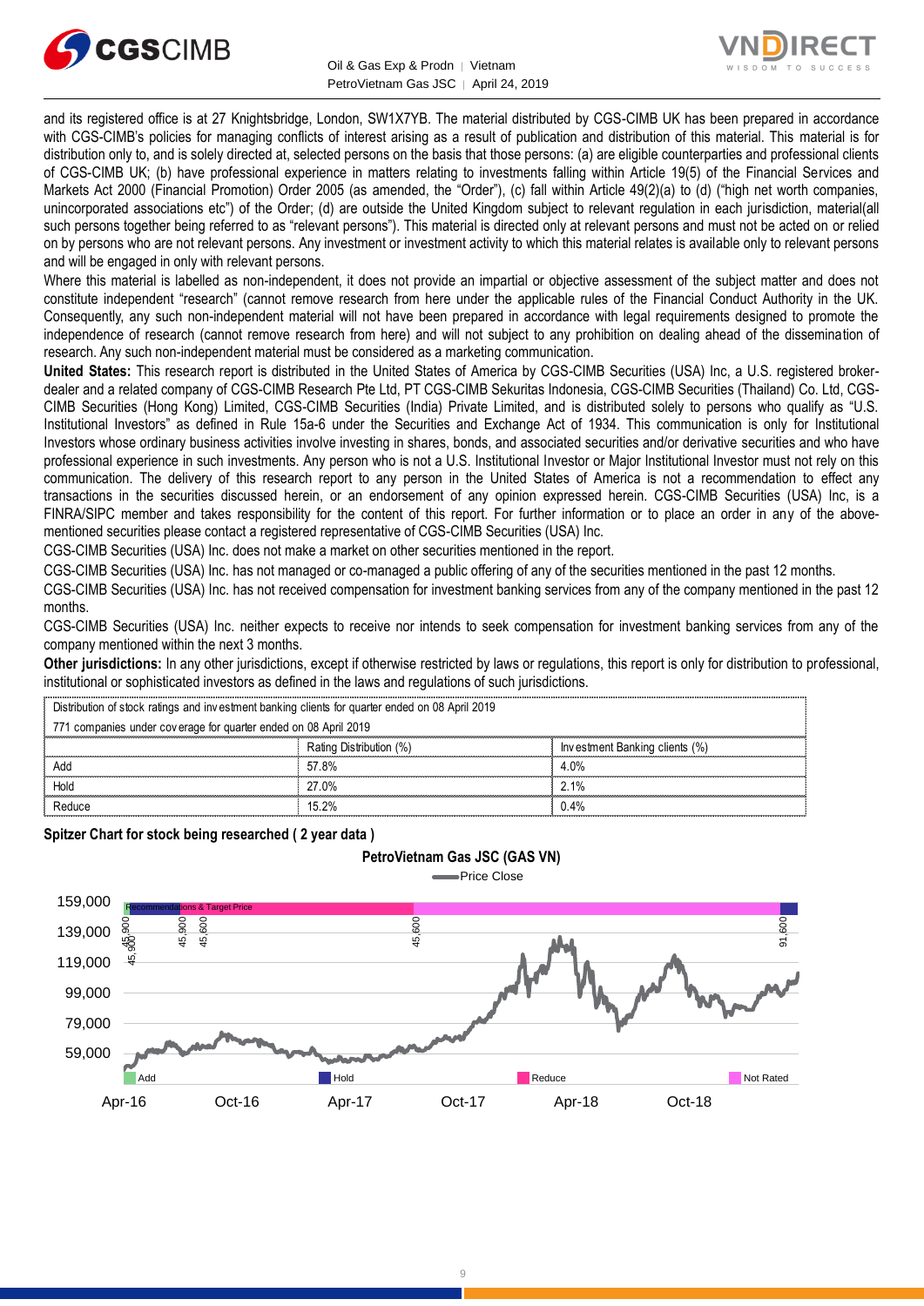

Oil & Gas Exp & Prodn | Vietnam PetroVietnam Gas JSC | April 24, 2019



and its registered office is at 27 Knightsbridge, London, SW1X7YB. The material distributed by CGS-CIMB UK has been prepared in accordance with CGS-CIMB's policies for managing conflicts of interest arising as a result of publication and distribution of this material. This material is for distribution only to, and is solely directed at, selected persons on the basis that those persons: (a) are eligible counterparties and professional clients of CGS-CIMB UK; (b) have professional experience in matters relating to investments falling within Article 19(5) of the Financial Services and Markets Act 2000 (Financial Promotion) Order 2005 (as amended, the "Order"), (c) fall within Article 49(2)(a) to (d) ("high net worth companies, unincorporated associations etc") of the Order; (d) are outside the United Kingdom subject to relevant regulation in each jurisdiction, material(all such persons together being referred to as "relevant persons"). This material is directed only at relevant persons and must not be acted on or relied on by persons who are not relevant persons. Any investment or investment activity to which this material relates is available only to relevant persons and will be engaged in only with relevant persons.

Where this material is labelled as non-independent, it does not provide an impartial or objective assessment of the subject matter and does not constitute independent "research" (cannot remove research from here under the applicable rules of the Financial Conduct Authority in the UK. Consequently, any such non-independent material will not have been prepared in accordance with legal requirements designed to promote the independence of research (cannot remove research from here) and will not subject to any prohibition on dealing ahead of the dissemination of research. Any such non-independent material must be considered as a marketing communication.

**United States:** This research report is distributed in the United States of America by CGS-CIMB Securities (USA) Inc, a U.S. registered brokerdealer and a related company of CGS-CIMB Research Pte Ltd, PT CGS-CIMB Sekuritas Indonesia, CGS-CIMB Securities (Thailand) Co. Ltd, CGS-CIMB Securities (Hong Kong) Limited, CGS-CIMB Securities (India) Private Limited, and is distributed solely to persons who qualify as "U.S. Institutional Investors" as defined in Rule 15a-6 under the Securities and Exchange Act of 1934. This communication is only for Institutional Investors whose ordinary business activities involve investing in shares, bonds, and associated securities and/or derivative securities and who have professional experience in such investments. Any person who is not a U.S. Institutional Investor or Major Institutional Investor must not rely on this communication. The delivery of this research report to any person in the United States of America is not a recommendation to effect any transactions in the securities discussed herein, or an endorsement of any opinion expressed herein. CGS-CIMB Securities (USA) Inc, is a FINRA/SIPC member and takes responsibility for the content of this report. For further information or to place an order in any of the abovementioned securities please contact a registered representative of CGS-CIMB Securities (USA) Inc.

CGS-CIMB Securities (USA) Inc. does not make a market on other securities mentioned in the report.

CGS-CIMB Securities (USA) Inc. has not managed or co-managed a public offering of any of the securities mentioned in the past 12 months.

CGS-CIMB Securities (USA) Inc. has not received compensation for investment banking services from any of the company mentioned in the past 12 months.

CGS-CIMB Securities (USA) Inc. neither expects to receive nor intends to seek compensation for investment banking services from any of the company mentioned within the next 3 months.

**Other jurisdictions:** In any other jurisdictions, except if otherwise restricted by laws or regulations, this report is only for distribution to professional, institutional or sophisticated investors as defined in the laws and regulations of such jurisdictions. Distribution of stock ratings and investors as defined in the laws and regulations of stock ratings and investors as defined in the laws and regulations of stock ratings and investment banking clients for quarter ended on

**PetroVietnam Gas JSC (GAS VN)**

| <b>Other jurisdictions:</b> In any other jurisdictions, except if otherwise restricted by laws or regulations, this report is only for distribution to<br>institutional or sophisticated investors as defined in the laws and regulations of such jurisdictions. |                         |                                |
|------------------------------------------------------------------------------------------------------------------------------------------------------------------------------------------------------------------------------------------------------------------|-------------------------|--------------------------------|
| Distribution of stock ratings and investment banking clients for quarter ended on 08 April 2019                                                                                                                                                                  |                         |                                |
| 771 companies under coverage for quarter ended on 08 April 2019                                                                                                                                                                                                  |                         |                                |
|                                                                                                                                                                                                                                                                  | Rating Distribution (%) | Investment Banking clients (%) |
| Add                                                                                                                                                                                                                                                              | 57.8%                   | 4.0%                           |
| Hold                                                                                                                                                                                                                                                             | 27.0%                   | 2.1%                           |
| Reduce                                                                                                                                                                                                                                                           | 15.2%                   | 0.4%                           |
|                                                                                                                                                                                                                                                                  |                         |                                |

**Spitzer Chart for stock being researched ( 2 year data )** 

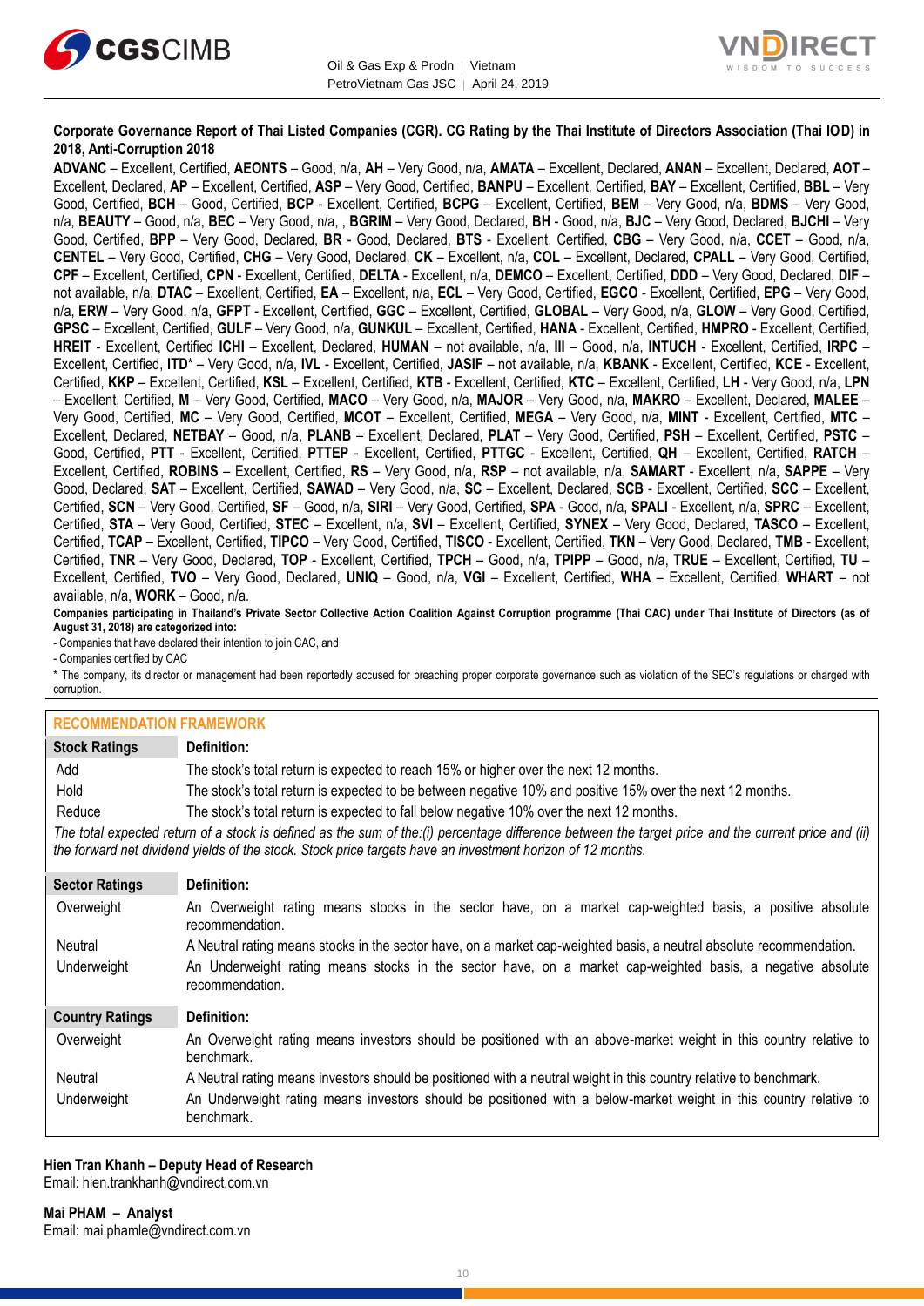



# **Corporate Governance Report of Thai Listed Companies (CGR). CG Rating by the Thai Institute of Directors Association (Thai IOD) in 2018, Anti-Corruption 2018**

**ADVANC** – Excellent, Certified, **AEONTS** – Good, n/a, **AH** – Very Good, n/a, **AMATA** – Excellent, Declared, **ANAN** – Excellent, Declared, **AOT** – Excellent, Declared, **AP** – Excellent, Certified, **ASP** – Very Good, Certified, **BANPU** – Excellent, Certified, **BAY** – Excellent, Certified, **BBL** – Very Good, Certified, **BCH** – Good, Certified, **BCP** - Excellent, Certified, **BCPG** – Excellent, Certified, **BEM** – Very Good, n/a, **BDMS** – Very Good, n/a, **BEAUTY** – Good, n/a, **BEC** – Very Good, n/a, , **BGRIM** – Very Good, Declared, **BH** - Good, n/a, **BJC** – Very Good, Declared, **BJCHI** – Very Good, Certified, **BPP** – Very Good, Declared, **BR** - Good, Declared, **BTS** - Excellent, Certified, **CBG** – Very Good, n/a, **CCET** – Good, n/a, **CENTEL** – Very Good, Certified, **CHG** – Very Good, Declared, **CK** – Excellent, n/a, **COL** – Excellent, Declared, **CPALL** – Very Good, Certified, **CPF** – Excellent, Certified, **CPN** - Excellent, Certified, **DELTA** - Excellent, n/a, **DEMCO** – Excellent, Certified, **DDD** – Very Good, Declared, **DIF** – not available, n/a, **DTAC** – Excellent, Certified, **EA** – Excellent, n/a, **ECL** – Very Good, Certified, **EGCO** - Excellent, Certified, **EPG** – Very Good, n/a, **ERW** – Very Good, n/a, **GFPT** - Excellent, Certified, **GGC** – Excellent, Certified, **GLOBAL** – Very Good, n/a, **GLOW** – Very Good, Certified, **GPSC** – Excellent, Certified, **GULF** – Very Good, n/a, **GUNKUL** – Excellent, Certified, **HANA** - Excellent, Certified, **HMPRO** - Excellent, Certified, **HREIT** - Excellent, Certified **ICHI** – Excellent, Declared, **HUMAN** – not available, n/a, **III** – Good, n/a, **INTUCH** - Excellent, Certified, **IRPC** – Excellent, Certified, **ITD**\* – Very Good, n/a, **IVL** - Excellent, Certified, **JASIF** – not available, n/a, **KBANK** - Excellent, Certified, **KCE** - Excellent, Certified, **KKP** – Excellent, Certified, **KSL** – Excellent, Certified, **KTB** - Excellent, Certified, **KTC** – Excellent, Certified, **LH** - Very Good, n/a, **LPN** – Excellent, Certified, **M** – Very Good, Certified, **MACO** – Very Good, n/a, **MAJOR** – Very Good, n/a, **MAKRO** – Excellent, Declared, **MALEE** – Very Good, Certified, **MC** – Very Good, Certified, **MCOT** – Excellent, Certified, **MEGA** – Very Good, n/a, **MINT** - Excellent, Certified, **MTC** – Excellent, Declared, **NETBAY** – Good, n/a, **PLANB** – Excellent, Declared, **PLAT** – Very Good, Certified, **PSH** – Excellent, Certified, **PSTC** – Good, Certified, **PTT** - Excellent, Certified, **PTTEP** - Excellent, Certified, **PTTGC** - Excellent, Certified, **QH** – Excellent, Certified, **RATCH** – Excellent, Certified, **ROBINS** – Excellent, Certified, **RS** – Very Good, n/a, **RSP** – not available, n/a, **SAMART** - Excellent, n/a, **SAPPE** – Very Good, Declared, **SAT** – Excellent, Certified, **SAWAD** – Very Good, n/a, **SC** – Excellent, Declared, **SCB** - Excellent, Certified, **SCC** – Excellent, Certified, **SCN** – Very Good, Certified, **SF** – Good, n/a, **SIRI** – Very Good, Certified, **SPA** - Good, n/a, **SPALI** - Excellent, n/a, **SPRC** – Excellent, Certified, **STA** – Very Good, Certified, **STEC** – Excellent, n/a, **SVI** – Excellent, Certified, **SYNEX** – Very Good, Declared, **TASCO** – Excellent, Certified, **TCAP** – Excellent, Certified, **TIPCO** – Very Good, Certified, **TISCO** - Excellent, Certified, **TKN** – Very Good, Declared, **TMB** - Excellent, Certified, **TNR** – Very Good, Declared, **TOP** - Excellent, Certified, **TPCH** – Good, n/a, **TPIPP** – Good, n/a, **TRUE** – Excellent, Certified, **TU** – Excellent, Certified, **TVO** – Very Good, Declared, **UNIQ** – Good, n/a, **VGI** – Excellent, Certified, **WHA** – Excellent, Certified, **WHART** – not available, n/a, **WORK** – Good, n/a.

**Companies participating in Thailand's Private Sector Collective Action Coalition Against Corruption programme (Thai CAC) under Thai Institute of Directors (as of August 31, 2018) are categorized into:**

- Companies that have declared their intention to join CAC, and

- Companies certified by CAC

\* The company, its director or management had been reportedly accused for breaching proper corporate governance such as violation of the SEC's regulations or charged with corruption.

| <b>RECOMMENDATION FRAMEWORK</b>                                                                                                                                                                                                                                   |                                                                                                                                 |  |
|-------------------------------------------------------------------------------------------------------------------------------------------------------------------------------------------------------------------------------------------------------------------|---------------------------------------------------------------------------------------------------------------------------------|--|
| <b>Stock Ratings</b>                                                                                                                                                                                                                                              | Definition:                                                                                                                     |  |
| Add                                                                                                                                                                                                                                                               | The stock's total return is expected to reach 15% or higher over the next 12 months.                                            |  |
| Hold                                                                                                                                                                                                                                                              | The stock's total return is expected to be between negative 10% and positive 15% over the next 12 months.                       |  |
| Reduce                                                                                                                                                                                                                                                            | The stock's total return is expected to fall below negative 10% over the next 12 months.                                        |  |
| The total expected return of a stock is defined as the sum of the:(i) percentage difference between the target price and the current price and (ii)<br>the forward net dividend yields of the stock. Stock price targets have an investment horizon of 12 months. |                                                                                                                                 |  |
| <b>Sector Ratings</b>                                                                                                                                                                                                                                             | Definition:                                                                                                                     |  |
| Overweight                                                                                                                                                                                                                                                        | An Overweight rating means stocks in the sector have, on a market cap-weighted basis, a positive absolute<br>recommendation.    |  |
| Neutral                                                                                                                                                                                                                                                           | A Neutral rating means stocks in the sector have, on a market cap-weighted basis, a neutral absolute recommendation.            |  |
| Underweight                                                                                                                                                                                                                                                       | An Underweight rating means stocks in the sector have, on a market cap-weighted basis, a negative absolute<br>recommendation.   |  |
| <b>Country Ratings</b>                                                                                                                                                                                                                                            | Definition:                                                                                                                     |  |
| Overweight                                                                                                                                                                                                                                                        | An Overweight rating means investors should be positioned with an above-market weight in this country relative to<br>benchmark. |  |
| Neutral                                                                                                                                                                                                                                                           | A Neutral rating means investors should be positioned with a neutral weight in this country relative to benchmark.              |  |
| Underweight                                                                                                                                                                                                                                                       | An Underweight rating means investors should be positioned with a below-market weight in this country relative to<br>benchmark. |  |

#### **Hien Tran Khanh – Deputy Head of Research**

Email: [hien.trankhanh@vndirect.com.vn](mailto:hien.trankhanh@vndirect.com.vn)

**Mai PHAM – Analyst** Email: [mai.phamle@vndirect.com.vn](mailto:mai.phamle@vndirect.com.vn)